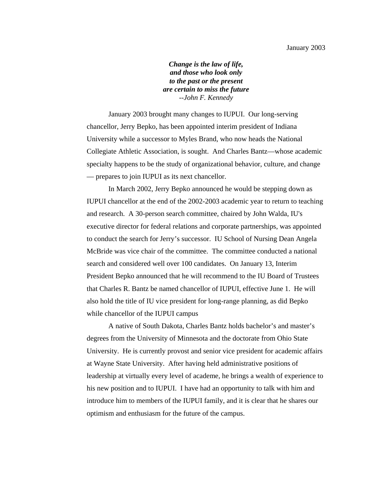*Change is the law of life, and those who look only to the past or the present are certain to miss the future --John F. Kennedy* 

 January 2003 brought many changes to IUPUI. Our long-serving chancellor, Jerry Bepko, has been appointed interim president of Indiana University while a successor to Myles Brand, who now heads the National Collegiate Athletic Association, is sought. And Charles Bantz—whose academic specialty happens to be the study of organizational behavior, culture, and change — prepares to join IUPUI as its next chancellor.

 In March 2002, Jerry Bepko announced he would be stepping down as IUPUI chancellor at the end of the 2002-2003 academic year to return to teaching and research. A 30-person search committee, chaired by John Walda, IU's executive director for federal relations and corporate partnerships, was appointed to conduct the search for Jerry's successor. IU School of Nursing Dean Angela McBride was vice chair of the committee. The committee conducted a national search and considered well over 100 candidates. On January 13, Interim President Bepko announced that he will recommend to the IU Board of Trustees that Charles R. Bantz be named chancellor of IUPUI, effective June 1. He will also hold the title of IU vice president for long-range planning, as did Bepko while chancellor of the IUPUI campus

 A native of South Dakota, Charles Bantz holds bachelor's and master's degrees from the University of Minnesota and the doctorate from Ohio State University. He is currently provost and senior vice president for academic affairs at Wayne State University. After having held administrative positions of leadership at virtually every level of academe, he brings a wealth of experience to his new position and to IUPUI. I have had an opportunity to talk with him and introduce him to members of the IUPUI family, and it is clear that he shares our optimism and enthusiasm for the future of the campus.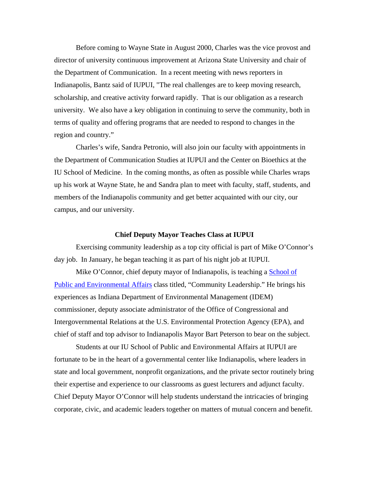Before coming to Wayne State in August 2000, Charles was the vice provost and director of university continuous improvement at Arizona State University and chair of the Department of Communication. In a recent meeting with news reporters in Indianapolis, Bantz said of IUPUI, "The real challenges are to keep moving research, scholarship, and creative activity forward rapidly. That is our obligation as a research university. We also have a key obligation in continuing to serve the community, both in terms of quality and offering programs that are needed to respond to changes in the region and country."

 Charles's wife, Sandra Petronio, will also join our faculty with appointments in the Department of Communication Studies at IUPUI and the Center on Bioethics at the IU School of Medicine. In the coming months, as often as possible while Charles wraps up his work at Wayne State, he and Sandra plan to meet with faculty, staff, students, and members of the Indianapolis community and get better acquainted with our city, our campus, and our university.

# **Chief Deputy Mayor Teaches Class at IUPUI**

 Exercising community leadership as a top city official is part of Mike O'Connor's day job. In January, he began teaching it as part of his night job at IUPUI.

Mike O'Connor, chief deputy mayor of Indianapolis, is teaching a School of [Public and Environmental Affairs](http://www.spea.iupui.edu/) class titled, "Community Leadership." He brings his experiences as Indiana Department of Environmental Management (IDEM) commissioner, deputy associate administrator of the Office of Congressional and Intergovernmental Relations at the U.S. Environmental Protection Agency (EPA), and chief of staff and top advisor to Indianapolis Mayor Bart Peterson to bear on the subject.

 Students at our IU School of Public and Environmental Affairs at IUPUI are fortunate to be in the heart of a governmental center like Indianapolis, where leaders in state and local government, nonprofit organizations, and the private sector routinely bring their expertise and experience to our classrooms as guest lecturers and adjunct faculty. Chief Deputy Mayor O'Connor will help students understand the intricacies of bringing corporate, civic, and academic leaders together on matters of mutual concern and benefit.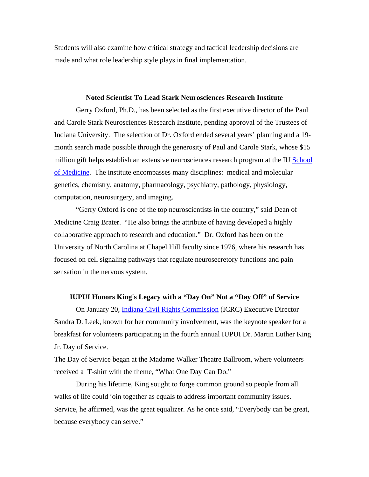Students will also examine how critical strategy and tactical leadership decisions are made and what role leadership style plays in final implementation.

# **Noted Scientist To Lead Stark Neurosciences Research Institute**

 Gerry Oxford, Ph.D., has been selected as the first executive director of the Paul and Carole Stark Neurosciences Research Institute, pending approval of the Trustees of Indiana University. The selection of Dr. Oxford ended several years' planning and a 19 month search made possible through the generosity of Paul and Carole Stark, whose \$15 million gift helps establish an extensive neurosciences research program at the IU School [of Medicine](http://www.medicine.iu.edu/). The institute encompasses many disciplines: medical and molecular genetics, chemistry, anatomy, pharmacology, psychiatry, pathology, physiology, computation, neurosurgery, and imaging.

 "Gerry Oxford is one of the top neuroscientists in the country," said Dean of Medicine Craig Brater. "He also brings the attribute of having developed a highly collaborative approach to research and education." Dr. Oxford has been on the University of North Carolina at Chapel Hill faculty since 1976, where his research has focused on cell signaling pathways that regulate neurosecretory functions and pain sensation in the nervous system.

# **IUPUI Honors King's Legacy with a "Day On" Not a "Day Off" of Service**

 On January 20, [Indiana Civil Rights Commission](http://www.in.gov/icrc/) (ICRC) Executive Director Sandra D. Leek, known for her community involvement, was the keynote speaker for a breakfast for volunteers participating in the fourth annual IUPUI Dr. Martin Luther King Jr. Day of Service.

The Day of Service began at the Madame Walker Theatre Ballroom, where volunteers received a T-shirt with the theme, "What One Day Can Do."

 During his lifetime, King sought to forge common ground so people from all walks of life could join together as equals to address important community issues. Service, he affirmed, was the great equalizer. As he once said, "Everybody can be great, because everybody can serve."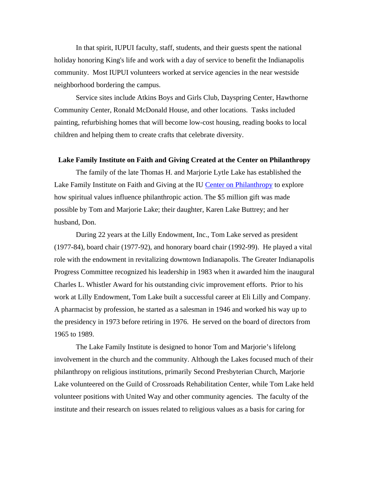In that spirit, IUPUI faculty, staff, students, and their guests spent the national holiday honoring King's life and work with a day of service to benefit the Indianapolis community. Most IUPUI volunteers worked at service agencies in the near westside neighborhood bordering the campus.

 Service sites include Atkins Boys and Girls Club, Dayspring Center, Hawthorne Community Center, Ronald McDonald House, and other locations. Tasks included painting, refurbishing homes that will become low-cost housing, reading books to local children and helping them to create crafts that celebrate diversity.

# **Lake Family Institute on Faith and Giving Created at the Center on Philanthropy**

 The family of the late Thomas H. and Marjorie Lytle Lake has established the Lake Family Institute on Faith and Giving at the IU [Center on Philanthropy](http://www.philanthropy.iupui.edu/) to explore how spiritual values influence philanthropic action. The \$5 million gift was made possible by Tom and Marjorie Lake; their daughter, Karen Lake Buttrey; and her husband, Don.

 During 22 years at the Lilly Endowment, Inc., Tom Lake served as president (1977-84), board chair (1977-92), and honorary board chair (1992-99). He played a vital role with the endowment in revitalizing downtown Indianapolis. The Greater Indianapolis Progress Committee recognized his leadership in 1983 when it awarded him the inaugural Charles L. Whistler Award for his outstanding civic improvement efforts. Prior to his work at Lilly Endowment, Tom Lake built a successful career at Eli Lilly and Company. A pharmacist by profession, he started as a salesman in 1946 and worked his way up to the presidency in 1973 before retiring in 1976. He served on the board of directors from 1965 to 1989.

 The Lake Family Institute is designed to honor Tom and Marjorie's lifelong involvement in the church and the community. Although the Lakes focused much of their philanthropy on religious institutions, primarily Second Presbyterian Church, Marjorie Lake volunteered on the Guild of Crossroads Rehabilitation Center, while Tom Lake held volunteer positions with United Way and other community agencies. The faculty of the institute and their research on issues related to religious values as a basis for caring for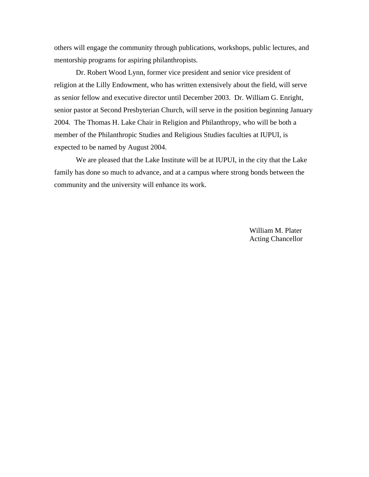others will engage the community through publications, workshops, public lectures, and mentorship programs for aspiring philanthropists.

 Dr. Robert Wood Lynn, former vice president and senior vice president of religion at the Lilly Endowment, who has written extensively about the field, will serve as senior fellow and executive director until December 2003. Dr. William G. Enright, senior pastor at Second Presbyterian Church, will serve in the position beginning January 2004. The Thomas H. Lake Chair in Religion and Philanthropy, who will be both a member of the Philanthropic Studies and Religious Studies faculties at IUPUI, is expected to be named by August 2004.

 We are pleased that the Lake Institute will be at IUPUI, in the city that the Lake family has done so much to advance, and at a campus where strong bonds between the community and the university will enhance its work.

> William M. Plater Acting Chancellor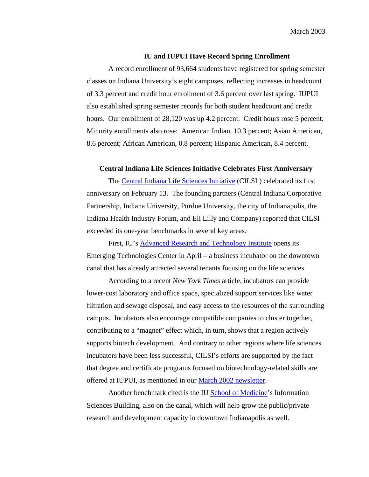March 2003

### **IU and IUPUI Have Record Spring Enrollment**

A record enrollment of 93,664 students have registered for spring semester classes on Indiana University's eight campuses, reflecting increases in headcount of 3.3 percent and credit hour enrollment of 3.6 percent over last spring. IUPUI also established spring semester records for both student headcount and credit hours. Our enrollment of 28,120 was up 4.2 percent. Credit hours rose 5 percent. Minority enrollments also rose: American Indian, 10.3 percent; Asian American, 8.6 percent; African American, 0.8 percent; Hispanic American, 8.4 percent.

# **Central Indiana Life Sciences Initiative Celebrates First Anniversary**

The [Central Indiana Life Sciences Initiative](http://www.indygov.org/mayor/cilsi/) (CILSI ) celebrated its first anniversary on February 13. The founding partners (Central Indiana Corporative Partnership, Indiana University, Purdue University, the city of Indianapolis, the Indiana Health Industry Forum, and Eli Lilly and Company) reported that CILSI exceeded its one-year benchmarks in several key areas.

First, IU's **Advanced Research and Technology Institute** opens its Emerging Technologies Center in April – a business incubator on the downtown canal that has already attracted several tenants focusing on the life sciences.

According to a recent *New York Times* article, incubators can provide lower-cost laboratory and office space, specialized support services like water filtration and sewage disposal, and easy access to the resources of the surrounding campus. Incubators also encourage compatible companies to cluster together, contributing to a "magnet" effect which, in turn, shows that a region actively supports biotech development. And contrary to other regions where life sciences incubators have been less successful, CILSI's efforts are supported by the fact that degree and certificate programs focused on biotechnology-related skills are offered at IUPUI, as mentioned in our [March 2002 newsletter.](http://www.iupui.edu/administration/chancellorsnews/200203.htm)

Another benchmark cited is the IU [School of Medicine'](http://www.medicine.iu.edu/)s Information Sciences Building, also on the canal, which will help grow the public/private research and development capacity in downtown Indianapolis as well.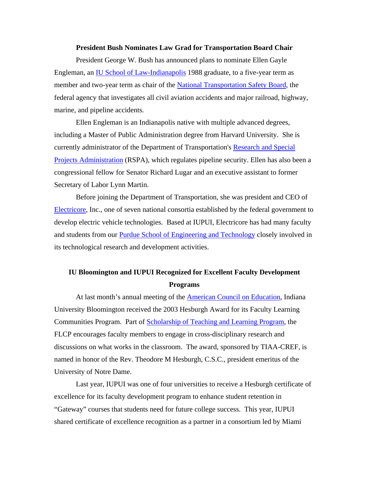# **President Bush Nominates Law Grad for Transportation Board Chair**

President George W. Bush has announced plans to nominate Ellen Gayle Engleman, an **IU School of Law-Indianapolis** 1988 graduate, to a five-year term as member and two-year term as chair of the [National Transportation Safety Board,](http://www.ntsb.gov/) the federal agency that investigates all civil aviation accidents and major railroad, highway, marine, and pipeline accidents.

 Ellen Engleman is an Indianapolis native with multiple advanced degrees, including a Master of Public Administration degree from Harvard University. She is currently administrator of the Department of Transportation's [Research and Special](http://www.rspa.dot.gov/)  [Projects Administration](http://www.rspa.dot.gov/) (RSPA), which regulates pipeline security. Ellen has also been a congressional fellow for Senator Richard Lugar and an executive assistant to former Secretary of Labor Lynn Martin.

Before joining the Department of Transportation, she was president and CEO of [Electricore,](http://www.electricore.org/home.html) Inc., one of seven national consortia established by the federal government to develop electric vehicle technologies. Based at IUPUI, Electricore has had many faculty and students from our **[Purdue School of Engineering and Technology](http://www.engr.iupui.edu/) closely involved in** its technological research and development activities.

# **IU Bloomington and IUPUI Recognized for Excellent Faculty Development Programs**

At last month's annual meeting of the **American Council on Education**, Indiana University Bloomington received the 2003 Hesburgh Award for its Faculty Learning Communities Program. Part of [Scholarship of Teaching and Learning Program,](http://www.indiana.edu/%7Esotl/) the FLCP encourages faculty members to engage in cross-disciplinary research and discussions on what works in the classroom. The award, sponsored by TIAA-CREF, is named in honor of the Rev. Theodore M Hesburgh, C.S.C., president emeritus of the University of Notre Dame.

 Last year, IUPUI was one of four universities to receive a Hesburgh certificate of excellence for its faculty development program to enhance student retention in "Gateway" courses that students need for future college success. This year, IUPUI shared certificate of excellence recognition as a partner in a consortium led by Miami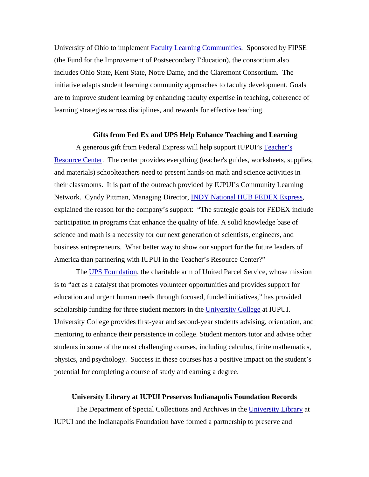University of Ohio to implement [Faculty Learning Communities](http://www.units.muohio.edu/flc/). Sponsored by FIPSE (the Fund for the Improvement of Postsecondary Education), the consortium also includes Ohio State, Kent State, Notre Dame, and the Claremont Consortium. The initiative adapts student learning community approaches to faculty development. Goals are to improve student learning by enhancing faculty expertise in teaching, coherence of learning strategies across disciplines, and rewards for effective teaching.

#### **Gifts from Fed Ex and UPS Help Enhance Teaching and Learning**

A generous gift from Federal Express will help support IUPUI's [Teacher's](https://www.cln.iupui.edu/index.asp?p=co/tres/about.html)  [Resource Center.](https://www.cln.iupui.edu/index.asp?p=co/tres/about.html) The center provides everything (teacher's guides, worksheets, supplies, and materials) schoolteachers need to present hands-on math and science activities in their classrooms. It is part of the outreach provided by IUPUI's Community Learning Network. Cyndy Pittman, Managing Director, **[INDY National HUB FEDEX Express](http://www.vfedex.com/indy/Main.htm),** explained the reason for the company's support: "The strategic goals for FEDEX include participation in programs that enhance the quality of life. A solid knowledge base of science and math is a necessity for our next generation of scientists, engineers, and business entrepreneurs. What better way to show our support for the future leaders of America than partnering with IUPUI in the Teacher's Resource Center?"

The [UPS Foundation](http://www.community.ups.com/community/resources/foundation/index.html), the charitable arm of United Parcel Service, whose mission is to "act as a catalyst that promotes volunteer opportunities and provides support for education and urgent human needs through focused, funded initiatives," has provided scholarship funding for three student mentors in the [University College](http://uc.iupui.edu/) at IUPUI. University College provides first-year and second-year students advising, orientation, and mentoring to enhance their persistence in college. Student mentors tutor and advise other students in some of the most challenging courses, including calculus, finite mathematics, physics, and psychology. Success in these courses has a positive impact on the student's potential for completing a course of study and earning a degree.

# **University Library at IUPUI Preserves Indianapolis Foundation Records**

The Department of Special Collections and Archives in the [University Library](http://www-lib.iupui.edu/) at IUPUI and the Indianapolis Foundation have formed a partnership to preserve and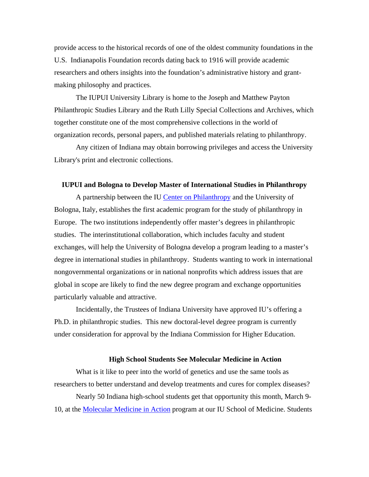provide access to the historical records of one of the oldest community foundations in the U.S. Indianapolis Foundation records dating back to 1916 will provide academic researchers and others insights into the foundation's administrative history and grantmaking philosophy and practices.

The IUPUI University Library is home to the Joseph and Matthew Payton Philanthropic Studies Library and the Ruth Lilly Special Collections and Archives, which together constitute one of the most comprehensive collections in the world of organization records, personal papers, and published materials relating to philanthropy.

Any citizen of Indiana may obtain borrowing privileges and access the University Library's print and electronic collections.

#### **IUPUI and Bologna to Develop Master of International Studies in Philanthropy**

A partnership between the IU [Center on Philanthropy](http://www.philanthropy.iupui.edu/) and the University of Bologna, Italy, establishes the first academic program for the study of philanthropy in Europe. The two institutions independently offer master's degrees in philanthropic studies. The interinstitutional collaboration, which includes faculty and student exchanges, will help the University of Bologna develop a program leading to a master's degree in international studies in philanthropy. Students wanting to work in international nongovernmental organizations or in national nonprofits which address issues that are global in scope are likely to find the new degree program and exchange opportunities particularly valuable and attractive.

Incidentally, the Trustees of Indiana University have approved IU's offering a Ph.D. in philanthropic studies. This new doctoral-level degree program is currently under consideration for approval by the Indiana Commission for Higher Education.

# **High School Students See Molecular Medicine in Action**

What is it like to peer into the world of genetics and use the same tools as researchers to better understand and develop treatments and cures for complex diseases?

 Nearly 50 Indiana high-school students get that opportunity this month, March 9- 10, at the [Molecular Medicine in Action](http://www.iupui.edu/%7Ewellsctr/MMIA/) program at our IU School of Medicine. Students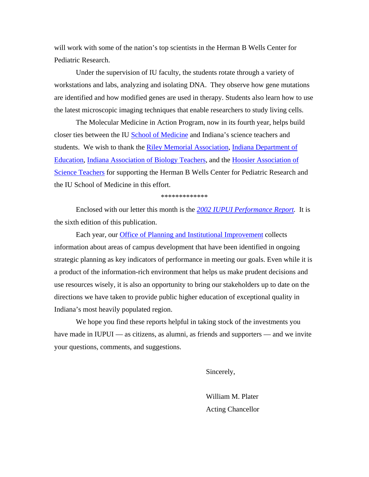will work with some of the nation's top scientists in the Herman B Wells Center for Pediatric Research.

 Under the supervision of IU faculty, the students rotate through a variety of workstations and labs, analyzing and isolating DNA. They observe how gene mutations are identified and how modified genes are used in therapy. Students also learn how to use the latest microscopic imaging techniques that enable researchers to study living cells.

 The Molecular Medicine in Action Program, now in its fourth year, helps build closer ties between the IU [School of Medicine](http://www.medicine.iu.edu/) and Indiana's science teachers and students. We wish to thank the [Riley Memorial Association](http://www.rileykids.org/), Indiana Department of [Education,](http://ideanet.doe.state.in.us/) [Indiana Association of Biology Teachers](http://www.hasti.org/groups/iabt.html), and the [Hoosier Association of](http://www.hasti.org/)  [Science Teachers](http://www.hasti.org/) for supporting the Herman B Wells Center for Pediatric Research and the IU School of Medicine in this effort.

\*\*\*\*\*\*\*\*\*\*\*\*\*

 Enclosed with our letter this month is the *[2002 IUPUI Performance Report.](http://www.iport.iupui.edu/iupui/default.asp)* It is the sixth edition of this publication.

 Each year, our [Office of Planning and Institutional Improvement](http://www.planning.iupui.edu/) collects information about areas of campus development that have been identified in ongoing strategic planning as key indicators of performance in meeting our goals. Even while it is a product of the information-rich environment that helps us make prudent decisions and use resources wisely, it is also an opportunity to bring our stakeholders up to date on the directions we have taken to provide public higher education of exceptional quality in Indiana's most heavily populated region.

 We hope you find these reports helpful in taking stock of the investments you have made in IUPUI — as citizens, as alumni, as friends and supporters — and we invite your questions, comments, and suggestions.

Sincerely,

William M. Plater Acting Chancellor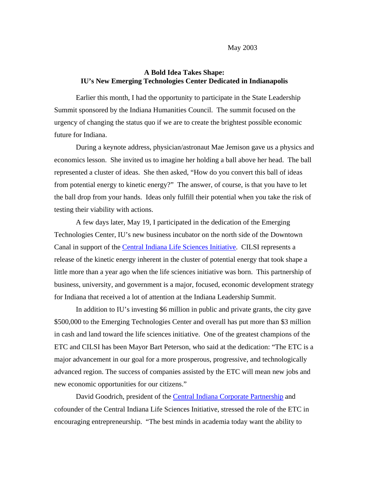# **A Bold Idea Takes Shape: IU's New Emerging Technologies Center Dedicated in Indianapolis**

Earlier this month, I had the opportunity to participate in the State Leadership Summit sponsored by the Indiana Humanities Council. The summit focused on the urgency of changing the status quo if we are to create the brightest possible economic future for Indiana.

 During a keynote address, physician/astronaut Mae Jemison gave us a physics and economics lesson. She invited us to imagine her holding a ball above her head. The ball represented a cluster of ideas. She then asked, "How do you convert this ball of ideas from potential energy to kinetic energy?" The answer, of course, is that you have to let the ball drop from your hands. Ideas only fulfill their potential when you take the risk of testing their viability with actions.

 A few days later, May 19, I participated in the dedication of the Emerging Technologies Center, IU's new business incubator on the north side of the Downtown Canal in support of the [Central Indiana Life Sciences Initiative.](http://www.indygov.org/mayor/cilsi/) CILSI represents a release of the kinetic energy inherent in the cluster of potential energy that took shape a little more than a year ago when the life sciences initiative was born. This partnership of business, university, and government is a major, focused, economic development strategy for Indiana that received a lot of attention at the Indiana Leadership Summit.

 In addition to IU's investing \$6 million in public and private grants, the city gave \$500,000 to the Emerging Technologies Center and overall has put more than \$3 million in cash and land toward the life sciences initiative. One of the greatest champions of the ETC and CILSI has been Mayor Bart Peterson, who said at the dedication: "The ETC is a major advancement in our goal for a more prosperous, progressive, and technologically advanced region. The success of companies assisted by the ETC will mean new jobs and new economic opportunities for our citizens."

 David Goodrich, president of the [Central Indiana Corporate Partnership](http://www.cincorp.com/) and cofounder of the Central Indiana Life Sciences Initiative, stressed the role of the ETC in encouraging entrepreneurship. "The best minds in academia today want the ability to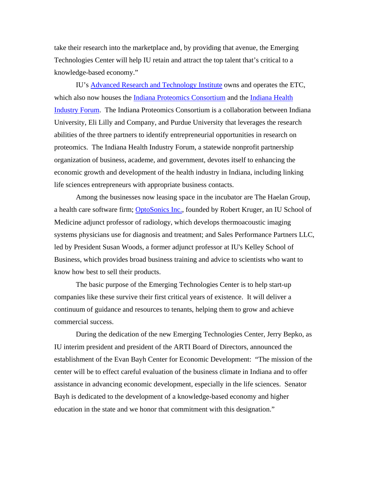take their research into the marketplace and, by providing that avenue, the Emerging Technologies Center will help IU retain and attract the top talent that's critical to a knowledge-based economy."

 IU's [Advanced Research and Technology Institute](http://arti.indiana.edu/) owns and operates the ETC, which also now houses the [Indiana Proteomics Consortium](http://www.inproteomics.com/) and the [Indiana Health](http://www.ihif.org/)  [Industry Forum.](http://www.ihif.org/) The Indiana Proteomics Consortium is a collaboration between Indiana University, Eli Lilly and Company, and Purdue University that leverages the research abilities of the three partners to identify entrepreneurial opportunities in research on proteomics. The Indiana Health Industry Forum, a statewide nonprofit partnership organization of business, academe, and government, devotes itself to enhancing the economic growth and development of the health industry in Indiana, including linking life sciences entrepreneurs with appropriate business contacts.

 Among the businesses now leasing space in the incubator are The Haelan Group, a health care software firm; **[OptoSonics Inc.](http://www.optosonics.com/)**, founded by Robert Kruger, an IU School of Medicine adjunct professor of radiology, which develops thermoacoustic imaging systems physicians use for diagnosis and treatment; and Sales Performance Partners LLC, led by President Susan Woods, a former adjunct professor at IU's Kelley School of Business, which provides broad business training and advice to scientists who want to know how best to sell their products.

 The basic purpose of the Emerging Technologies Center is to help start-up companies like these survive their first critical years of existence. It will deliver a continuum of guidance and resources to tenants, helping them to grow and achieve commercial success.

 During the dedication of the new Emerging Technologies Center, Jerry Bepko, as IU interim president and president of the ARTI Board of Directors, announced the establishment of the Evan Bayh Center for Economic Development: "The mission of the center will be to effect careful evaluation of the business climate in Indiana and to offer assistance in advancing economic development, especially in the life sciences. Senator Bayh is dedicated to the development of a knowledge-based economy and higher education in the state and we honor that commitment with this designation."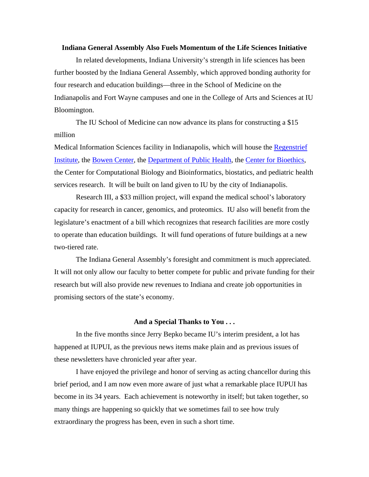# **Indiana General Assembly Also Fuels Momentum of the Life Sciences Initiative**

 In related developments, Indiana University's strength in life sciences has been further boosted by the Indiana General Assembly, which approved bonding authority for four research and education buildings—three in the School of Medicine on the Indianapolis and Fort Wayne campuses and one in the College of Arts and Sciences at IU Bloomington.

 The IU School of Medicine can now advance its plans for constructing a \$15 million

Medical Information Sciences facility in Indianapolis, which will house the [Regenstrief](http://www.regenstrief.org/)  [Institute](http://www.regenstrief.org/), the [Bowen Center](http://www.bowenresearchcenter.iupui.edu/), the [Department of Public Health,](http://www.state.in.us/isdh/) the [Center for Bioethics,](http://www.bioethics.iu.edu/about.html) the Center for Computational Biology and Bioinformatics, biostatics, and pediatric health services research. It will be built on land given to IU by the city of Indianapolis.

 Research III, a \$33 million project, will expand the medical school's laboratory capacity for research in cancer, genomics, and proteomics. IU also will benefit from the legislature's enactment of a bill which recognizes that research facilities are more costly to operate than education buildings. It will fund operations of future buildings at a new two-tiered rate.

 The Indiana General Assembly's foresight and commitment is much appreciated. It will not only allow our faculty to better compete for public and private funding for their research but will also provide new revenues to Indiana and create job opportunities in promising sectors of the state's economy.

# **And a Special Thanks to You . . .**

 In the five months since Jerry Bepko became IU's interim president, a lot has happened at IUPUI, as the previous news items make plain and as previous issues of these newsletters have chronicled year after year.

 I have enjoyed the privilege and honor of serving as acting chancellor during this brief period, and I am now even more aware of just what a remarkable place IUPUI has become in its 34 years. Each achievement is noteworthy in itself; but taken together, so many things are happening so quickly that we sometimes fail to see how truly extraordinary the progress has been, even in such a short time.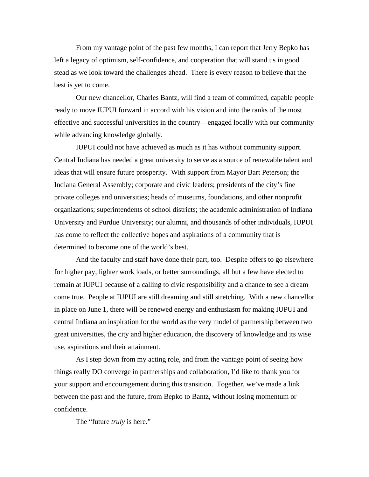From my vantage point of the past few months, I can report that Jerry Bepko has left a legacy of optimism, self-confidence, and cooperation that will stand us in good stead as we look toward the challenges ahead. There is every reason to believe that the best is yet to come.

 Our new chancellor, Charles Bantz, will find a team of committed, capable people ready to move IUPUI forward in accord with his vision and into the ranks of the most effective and successful universities in the country—engaged locally with our community while advancing knowledge globally.

 IUPUI could not have achieved as much as it has without community support. Central Indiana has needed a great university to serve as a source of renewable talent and ideas that will ensure future prosperity. With support from Mayor Bart Peterson; the Indiana General Assembly; corporate and civic leaders; presidents of the city's fine private colleges and universities; heads of museums, foundations, and other nonprofit organizations; superintendents of school districts; the academic administration of Indiana University and Purdue University; our alumni, and thousands of other individuals, IUPUI has come to reflect the collective hopes and aspirations of a community that is determined to become one of the world's best.

 And the faculty and staff have done their part, too. Despite offers to go elsewhere for higher pay, lighter work loads, or better surroundings, all but a few have elected to remain at IUPUI because of a calling to civic responsibility and a chance to see a dream come true. People at IUPUI are still dreaming and still stretching. With a new chancellor in place on June 1, there will be renewed energy and enthusiasm for making IUPUI and central Indiana an inspiration for the world as the very model of partnership between two great universities, the city and higher education, the discovery of knowledge and its wise use, aspirations and their attainment.

 As I step down from my acting role, and from the vantage point of seeing how things really DO converge in partnerships and collaboration, I'd like to thank you for your support and encouragement during this transition. Together, we've made a link between the past and the future, from Bepko to Bantz, without losing momentum or confidence.

The "future *truly* is here."